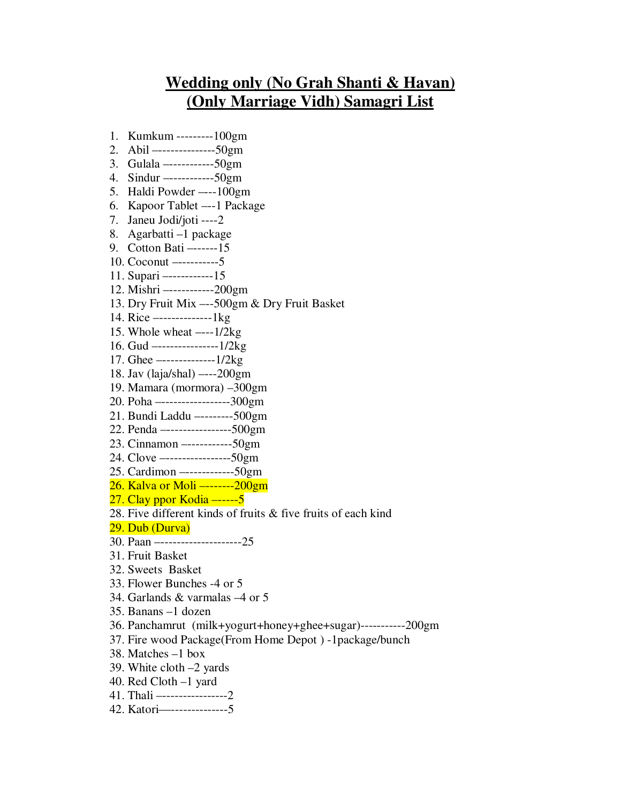## **Wedding only (No Grah Shanti & Havan) (Only Marriage Vidh) Samagri List**

- 1. Kumkum ---------100gm
- 2. Abil –--------------50gm
- 3. Gulala –-----------50gm
- 4. Sindur –-----------50gm
- 5. Haldi Powder –---100gm
- 6. Kapoor Tablet –--1 Package
- 7. Janeu Jodi/joti ----2
- 8. Agarbatti –1 package
- 9. Cotton Bati –------15
- 10. Coconut –----------5
- 11. Supari –-----------15
- 12. Mishri –-----------200gm
- 13. Dry Fruit Mix –--500gm & Dry Fruit Basket
- 14. Rice –-------------1kg
- 15. Whole wheat –---1/2kg
- 16. Gud –---------------1/2kg
- 17. Ghee –-------------1/2kg
- 18. Jav (laja/shal) –---200gm
- 19. Mamara (mormora) –300gm
- 20. Poha –-----------------300gm
- 21. Bundi Laddu –--------500gm
- 22. Penda –----------------500gm
- 23. Cinnamon –-----------50gm
- 24. Clove –----------------50gm
- 25. Cardimon –------------50gm
- 26. Kalva or Moli –-------200gm
- 27. Clay ppor Kodia –-----5
- 28. Five different kinds of fruits & five fruits of each kind
- 29. Dub (Durva)
- 30. Paan –--------------------25
- 31. Fruit Basket
- 32. Sweets Basket
- 33. Flower Bunches -4 or 5
- 34. Garlands & varmalas –4 or 5
- 35. Banans –1 dozen
- 36. Panchamrut (milk+yogurt+honey+ghee+sugar)-----------200gm
- 37. Fire wood Package(From Home Depot ) -1package/bunch
- 38. Matches –1 box
- 39. White cloth –2 yards
- 40. Red Cloth –1 yard
- 41. Thali –----------------2
- 42. Katori—--------------5